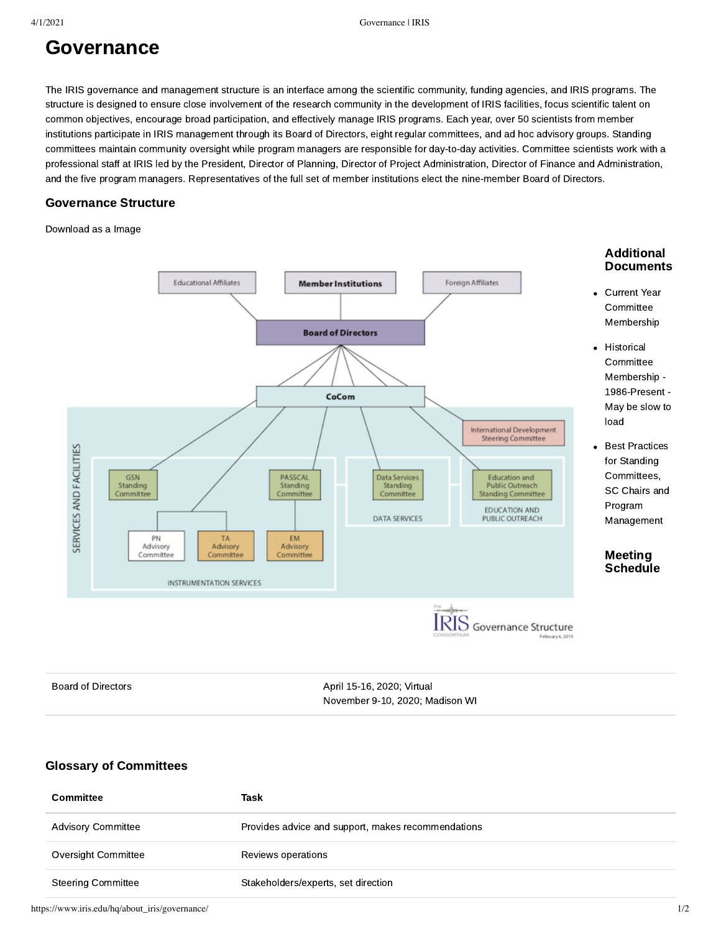# Governance

The IRIS governance and management structure is an interface among the scientific community, funding agencies, and IRIS programs. The structure is designed to ensure close involvement of the research community in the development of IRIS facilities, focus scientific talent on common objectives, encourage broad participation, and effectively manage IRIS programs. Each year, over 50 scientists from member institutions participate in IRIS management through its [Board of Directors,](https://www.iris.edu/hq/about_iris/governance/bod) eight regular committees, and ad hoc advisory groups. Standing committees maintain community oversight while program managers are responsible for day-to-day activities. Committee scientists work with a professional staff at IRIS led by the President, Director of Planning, Director of Project Administration, Director of Finance and Administration, and the five program managers. Representatives of the full set of member institutions elect the nine-member [Board of Directors](https://www.iris.edu/hq/about_iris/governance/bod).

#### Governance Structure

[Download as a Image](https://www.iris.edu/hq/files/about_iris/governance/images/iris_governance_2-6-19.png)



[Board of Directors](https://www.iris.edu/hq/about_iris/governance/bod) **Board of Directors 1201 1201 13-16, 2020**; Virtual November 9-10, 2020; Madison WI

### Glossary of Committees

| Committee                 | Task                                               |
|---------------------------|----------------------------------------------------|
| <b>Advisory Committee</b> | Provides advice and support, makes recommendations |
| Oversight Committee       | Reviews operations                                 |
| <b>Steering Committee</b> | Stakeholders/experts, set direction                |